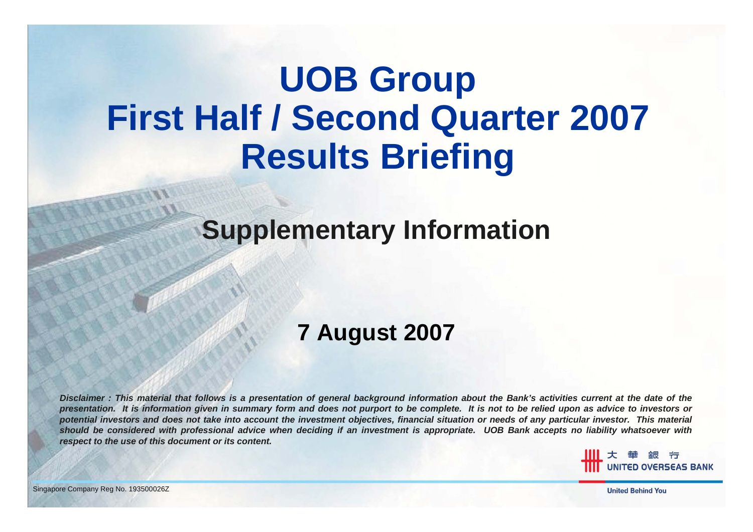# **UOB Group First Half / Second Quarter 2007 Results Briefing**

### **Supplementary Information**

### **7 August 2007**

*Disclaimer : This material that follows is a presentation of general background information about the Bank's activities current at the date of the presentation. It is information given in summary form and does not purport to be complete. It is not to be relied upon as advice to investors or potential investors and does not take into account the investment objectives, financial situation or needs of any particular investor. This material should be considered with professional advice when deciding if an investment is appropriate. UOB Bank accepts no liability whatsoever with respect to the use of this document or its content.*

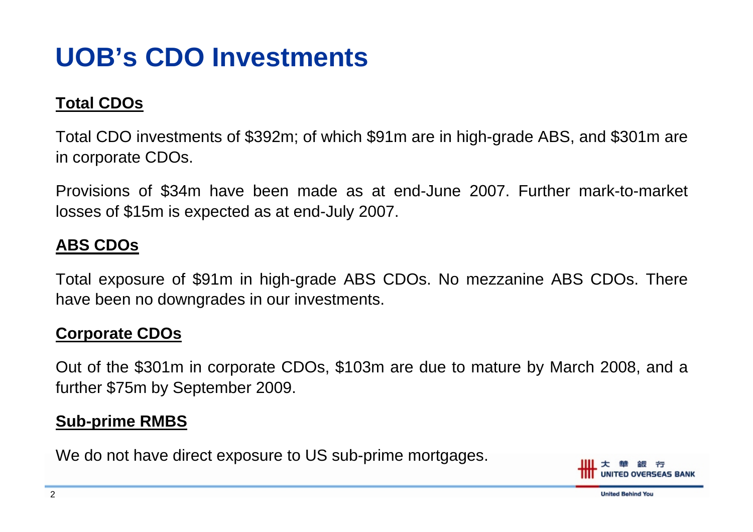## **UOB's CDO Investments**

#### **Total CDOs**

Total CDO investments of \$392m; of which \$91m are in high-grade ABS, and \$301m are in corporate CDOs.

Provisions of \$34m have been made as at end-June 2007. Further mark-to-market losses of \$15m is expected as at end-July 2007.

#### **ABS CDOs**

Total exposure of \$91m in high-grade ABS CDOs. No mezzanine ABS CDOs. There have been no downgrades in our investments.

#### **Corporate CDOs**

Out of the \$301m in corporate CDOs, \$103m are due to mature by March 2008, and a further \$75m by September 2009.

#### **Sub-prime RMBS**

We do not have direct exposure to US sub-prime mortgages.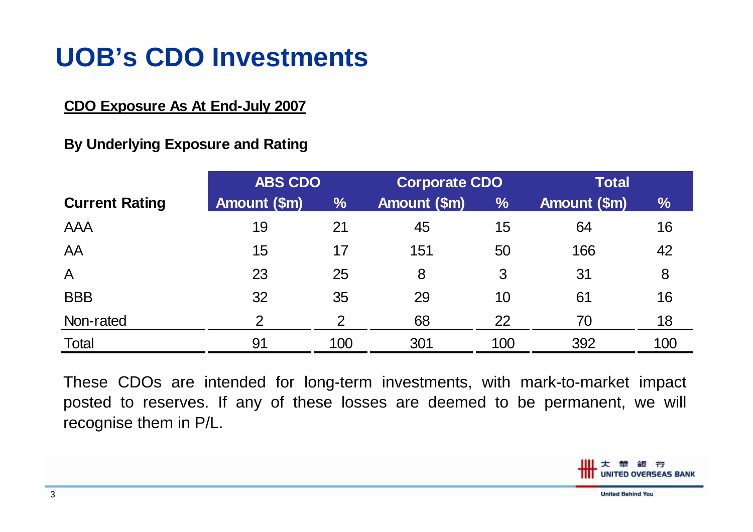### **UOB's CDO Investments**

#### **CDO Exposure As At End-July 2007**

#### **By Underlying Exposure and Rating**

|                       | <b>ABS CDO</b> |               | <b>Corporate CDO</b> |               | <b>Total</b> |      |
|-----------------------|----------------|---------------|----------------------|---------------|--------------|------|
| <b>Current Rating</b> | Amount (\$m)   | $\frac{0}{0}$ | Amount (\$m)         | $\frac{0}{0}$ | Amount (\$m) | $\%$ |
| <b>AAA</b>            | 19             | 21            | 45                   | 15            | 64           | 16   |
| AA                    | 15             | 17            | 151                  | 50            | 166          | 42   |
| $\bigwedge$           | 23             | 25            | 8                    | 3             | 31           | 8    |
| <b>BBB</b>            | 32             | 35            | 29                   | 10            | 61           | 16   |
| Non-rated             | $\overline{2}$ | 2             | 68                   | 22            | 70           | 18   |
| Total                 | 91             | 100           | 301                  | 100           | 392          | 100  |

These CDOs are intended for long-term investments, with mark-to-market impact posted to reserves. If any of these losses are deemed to be permanent, we will recognise them in P/L.